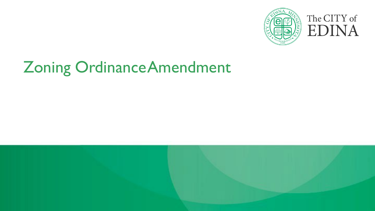

# Zoning OrdinanceAmendment

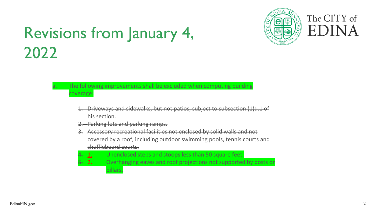

#### Revisions from January 4, **ELACTE** Revisions from January 4, 2022

#### The following improvements shall be excluded when computing building coverage:

- 1. Driveways and sidewalks, but not patios, subject to subsection (1)d.1 of his section.
- Parking lots and parking ramps.
- 3. Accessory recreational facilities not enclosed by solid walls and not covered by a roof, including outdoor swimming pools, tennis courts and shuffleboard courts.
- Unenclosed steps and stoops less than 50 square feet.
- 5. 2. Overhanging eaves and roof projections not supported by posts or pillars.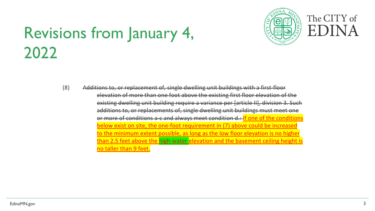### Revisions from January 4, 2022



(8) Additions to, or replacement of, single dwelling unit buildings with a first-floor elevation of more than one foot above the existing first floor elevation of the existing dwelling unit building require a variance per [article II], division 3. Such additions to, or replacements of, single dwelling unit buildings must meet one or more of conditions a-c and always meet condition d.: If one of the conditions below exist on site, the one-foot requirement in (7) above could be increased to the minimum extent possible, as long as the low floor elevation is no higher than 2.5 feet above the high-water elevation and the basement ceiling height is no taller than 9 feet.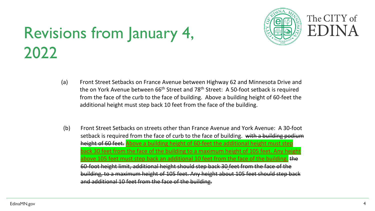## Revisions from January 4, **ELAU Revisions** from January 4, 2022



- (a) Front Street Setbacks on France Avenue between Highway 62 and Minnesota Drive and the on York Avenue between  $66<sup>th</sup>$  Street and 78<sup>th</sup> Street: A 50-foot setback is required from the face of the curb to the face of building. Above a building height of 60-feet the additional height must step back 10 feet from the face of the building.
- (b) Front Street Setbacks on streets other than France Avenue and York Avenue: A 30-foot setback is required from the face of curb to the face of building. with a building podium height of 60 feet. Above a building height of 60-feet the additional height must step back 30 feet from the face of the building to a maximum height of 105 feet. Any height bove 105 feet must step back an additional 10 feet from the face of the building. the 60-foot height limit, additional height should step back 30 feet from the face of the building, to a maximum height of 105 feet. Any height about 105 feet should step back and additional 10 feet from the face of the building.